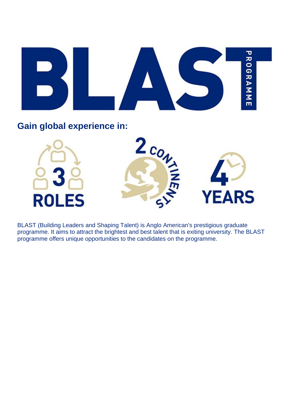

**Gain global experience in:** 



BLAST (Building Leaders and Shaping Talent) is Anglo American's prestigious graduate programme. It aims to attract the brightest and best talent that is exiting university. The BLAST programme offers unique opportunities to the candidates on the programme.